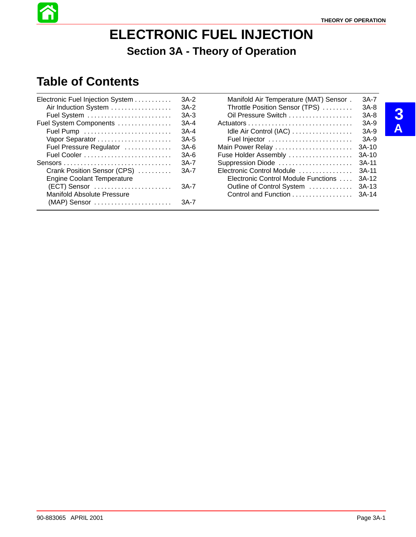# **ELECTRONIC FUEL INJECTION Section 3A - Theory of Operation**

# **Table of Contents**

| Electronic Fuel Injection System  | $3A-2$ |
|-----------------------------------|--------|
| Air Induction System              | $3A-2$ |
| Fuel System                       | $3A-3$ |
| Fuel System Components            | $3A-4$ |
|                                   | $3A-4$ |
|                                   | $3A-5$ |
| Fuel Pressure Regulator           | $3A-6$ |
|                                   | $3A-6$ |
|                                   | $3A-7$ |
| Crank Position Sensor (CPS)       | 3A-7   |
| <b>Engine Coolant Temperature</b> |        |
| (ECT) Sensor                      | $3A-7$ |
| <b>Manifold Absolute Pressure</b> |        |
| (MAP) Sensor                      | 3A-7   |
|                                   |        |

| Manifold Air Temperature (MAT) Sensor. | $3A-7$  |
|----------------------------------------|---------|
| Throttle Position Sensor (TPS)         | $3A-8$  |
| Oil Pressure Switch                    | $3A-8$  |
|                                        | $3A-9$  |
| Idle Air Control (IAC)                 | $3A-9$  |
| Fuel Injector                          | $3A-9$  |
| Main Power Relay                       | $3A-10$ |
| Fuse Holder Assembly                   | $3A-10$ |
| Suppression Diode                      | $3A-11$ |
| Electronic Control Module              | $3A-11$ |
| Electronic Control Module Functions    | $3A-12$ |
| Outline of Control System              | $3A-13$ |
| Control and Function                   | $3A-14$ |
|                                        |         |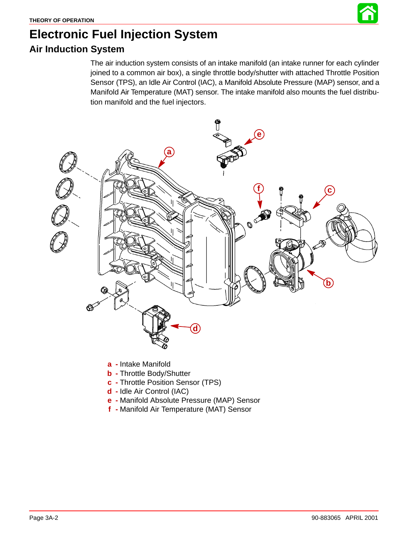# **Electronic Fuel Injection System Air Induction System**

The air induction system consists of an intake manifold (an intake runner for each cylinder joined to a common air box), a single throttle body/shutter with attached Throttle Position Sensor (TPS), an Idle Air Control (IAC), a Manifold Absolute Pressure (MAP) sensor, and a Manifold Air Temperature (MAT) sensor. The intake manifold also mounts the fuel distribution manifold and the fuel injectors.



- **a -** Intake Manifold
- **b -** Throttle Body/Shutter
- **c -** Throttle Position Sensor (TPS)
- **d -** Idle Air Control (IAC)
- **e -** Manifold Absolute Pressure (MAP) Sensor
- **f -** Manifold Air Temperature (MAT) Sensor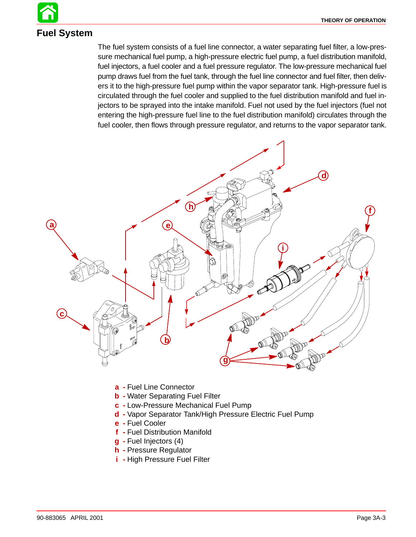# **Fuel System**

The fuel system consists of a fuel line connector, a water separating fuel filter, a low-pressure mechanical fuel pump, a high-pressure electric fuel pump, a fuel distribution manifold, fuel injectors, a fuel cooler and a fuel pressure regulator. The low-pressure mechanical fuel pump draws fuel from the fuel tank, through the fuel line connector and fuel filter, then delivers it to the high-pressure fuel pump within the vapor separator tank. High-pressure fuel is circulated through the fuel cooler and supplied to the fuel distribution manifold and fuel injectors to be sprayed into the intake manifold. Fuel not used by the fuel injectors (fuel not entering the high-pressure fuel line to the fuel distribution manifold) circulates through the fuel cooler, then flows through pressure regulator, and returns to the vapor separator tank.



- **a -** Fuel Line Connector
- **b -** Water Separating Fuel Filter
- **c -** Low-Pressure Mechanical Fuel Pump
- **d -** Vapor Separator Tank/High Pressure Electric Fuel Pump
- **e -** Fuel Cooler
- **f -** Fuel Distribution Manifold
- **g -** Fuel Injectors (4)
- **h -** Pressure Regulator
- **i -** High Pressure Fuel Filter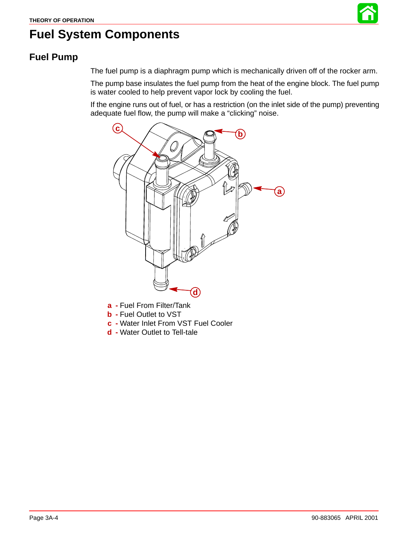

# <span id="page-3-0"></span>**Fuel System Components**

#### **Fuel Pump**

The fuel pump is a diaphragm pump which is mechanically driven off of the rocker arm.

The pump base insulates the fuel pump from the heat of the engine block. The fuel pump is water cooled to help prevent vapor lock by cooling the fuel.

If the engine runs out of fuel, or has a restriction (on the inlet side of the pump) preventing adequate fuel flow, the pump will make a "clicking" noise.



- **a -** Fuel From Filter/Tank
- **b -** Fuel Outlet to VST
- **c -** Water Inlet From VST Fuel Cooler
- **d -** Water Outlet to Tell-tale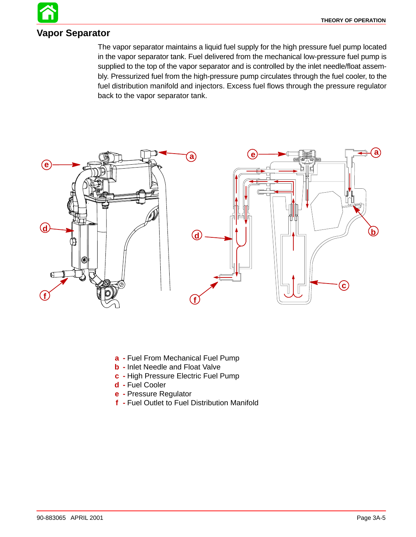#### **Vapor Separator**

The vapor separator maintains a liquid fuel supply for the high pressure fuel pump located in the vapor separator tank. Fuel delivered from the mechanical low-pressure fuel pump is supplied to the top of the vapor separator and is controlled by the inlet needle/float assembly. Pressurized fuel from the high-pressure pump circulates through the fuel cooler, to the fuel distribution manifold and injectors. Excess fuel flows through the pressure regulator back to the vapor separator tank.



- **a -** Fuel From Mechanical Fuel Pump
- **b -** Inlet Needle and Float Valve
- **c -** High Pressure Electric Fuel Pump
- **d -** Fuel Cooler
- **e -** Pressure Regulator
- **f -** Fuel Outlet to Fuel Distribution Manifold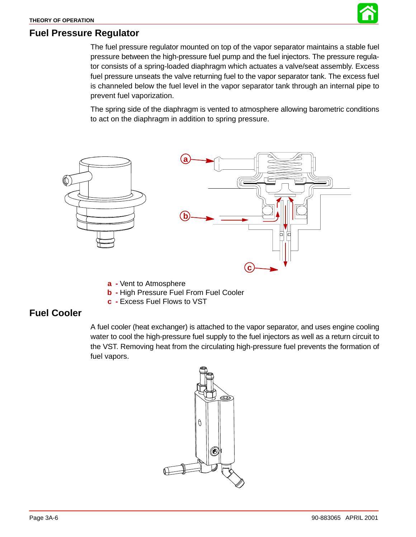

#### **Fuel Pressure Regulator**

The fuel pressure regulator mounted on top of the vapor separator maintains a stable fuel pressure between the high-pressure fuel pump and the fuel injectors. The pressure regulator consists of a spring-loaded diaphragm which actuates a valve/seat assembly. Excess fuel pressure unseats the valve returning fuel to the vapor separator tank. The excess fuel is channeled below the fuel level in the vapor separator tank through an internal pipe to prevent fuel vaporization.

The spring side of the diaphragm is vented to atmosphere allowing barometric conditions to act on the diaphragm in addition to spring pressure.



- **a -** Vent to Atmosphere
- **b -** High Pressure Fuel From Fuel Cooler
- **c -** Excess Fuel Flows to VST

#### **Fuel Cooler**

A fuel cooler (heat exchanger) is attached to the vapor separator, and uses engine cooling water to cool the high-pressure fuel supply to the fuel injectors as well as a return circuit to the VST. Removing heat from the circulating high-pressure fuel prevents the formation of fuel vapors.

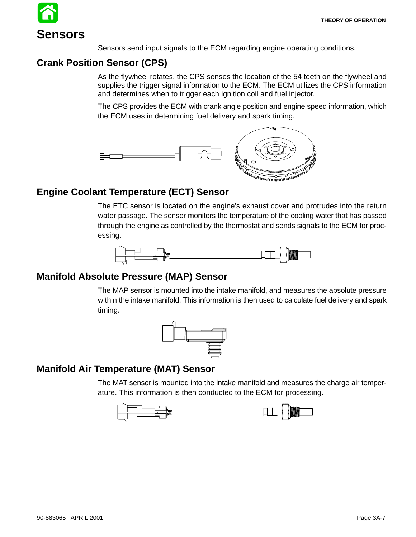# **Sensors**

Sensors send input signals to the ECM regarding engine operating conditions.

#### **Crank Position Sensor (CPS)**

As the flywheel rotates, the CPS senses the location of the 54 teeth on the flywheel and supplies the trigger signal information to the ECM. The ECM utilizes the CPS information and determines when to trigger each ignition coil and fuel injector.

The CPS provides the ECM with crank angle position and engine speed information, which the ECM uses in determining fuel delivery and spark timing.



#### **Engine Coolant Temperature (ECT) Sensor**

The ETC sensor is located on the engine's exhaust cover and protrudes into the return water passage. The sensor monitors the temperature of the cooling water that has passed through the engine as controlled by the thermostat and sends signals to the ECM for processing.



#### **Manifold Absolute Pressure (MAP) Sensor**

The MAP sensor is mounted into the intake manifold, and measures the absolute pressure within the intake manifold. This information is then used to calculate fuel delivery and spark timing.



#### **Manifold Air Temperature (MAT) Sensor**

The MAT sensor is mounted into the intake manifold and measures the charge air temperature. This information is then conducted to the ECM for processing.

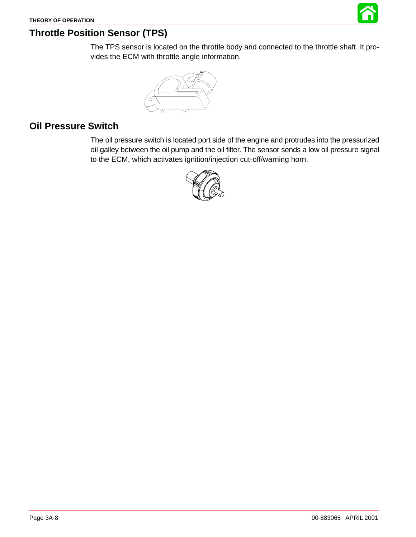

#### **Throttle Position Sensor (TPS)**

The TPS sensor is located on the throttle body and connected to the throttle shaft. It provides the ECM with throttle angle information.



#### **Oil Pressure Switch**

The oil pressure switch is located port side of the engine and protrudes into the pressurized oil galley between the oil pump and the oil filter. The sensor sends a low oil pressure signal to the ECM, which activates ignition/injection cut-off/warning horn.

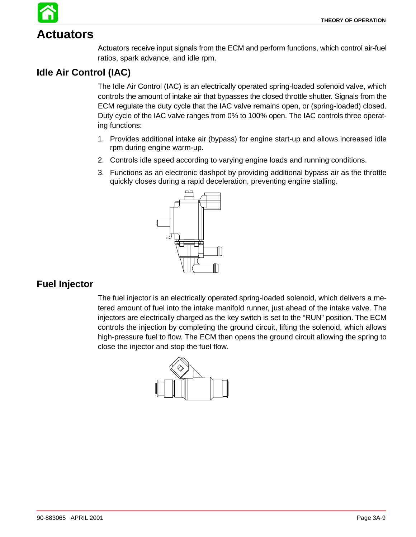# **Actuators**

Actuators receive input signals from the ECM and perform functions, which control air-fuel ratios, spark advance, and idle rpm.

#### **Idle Air Control (IAC)**

The Idle Air Control (IAC) is an electrically operated spring-loaded solenoid valve, which controls the amount of intake air that bypasses the closed throttle shutter. Signals from the ECM regulate the duty cycle that the IAC valve remains open, or (spring-loaded) closed. Duty cycle of the IAC valve ranges from 0% to 100% open. The IAC controls three operating functions:

- 1. Provides additional intake air (bypass) for engine start-up and allows increased idle rpm during engine warm-up.
- 2. Controls idle speed according to varying engine loads and running conditions.
- 3. Functions as an electronic dashpot by providing additional bypass air as the throttle quickly closes during a rapid deceleration, preventing engine stalling.



#### **Fuel Injector**

The fuel injector is an electrically operated spring-loaded solenoid, which delivers a metered amount of fuel into the intake manifold runner, just ahead of the intake valve. The injectors are electrically charged as the key switch is set to the "RUN" position. The ECM controls the injection by completing the ground circuit, lifting the solenoid, which allows high-pressure fuel to flow. The ECM then opens the ground circuit allowing the spring to close the injector and stop the fuel flow.

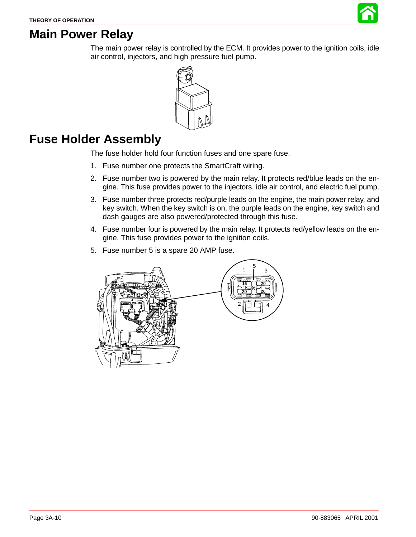

## **Main Power Relay**

The main power relay is controlled by the ECM. It provides power to the ignition coils, idle air control, injectors, and high pressure fuel pump.



## **Fuse Holder Assembly**

The fuse holder hold four function fuses and one spare fuse.

- 1. Fuse number one protects the SmartCraft wiring.
- 2. Fuse number two is powered by the main relay. It protects red/blue leads on the engine. This fuse provides power to the injectors, idle air control, and electric fuel pump.
- 3. Fuse number three protects red/purple leads on the engine, the main power relay, and key switch. When the key switch is on, the purple leads on the engine, key switch and dash gauges are also powered/protected through this fuse.
- 4. Fuse number four is powered by the main relay. It protects red/yellow leads on the engine. This fuse provides power to the ignition coils.
- 5. Fuse number 5 is a spare 20 AMP fuse.

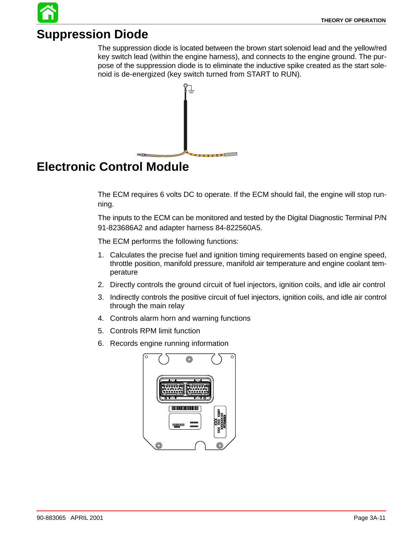# **Suppression Diode**

The suppression diode is located between the brown start solenoid lead and the yellow/red key switch lead (within the engine harness), and connects to the engine ground. The purpose of the suppression diode is to eliminate the inductive spike created as the start solenoid is de-energized (key switch turned from START to RUN).



# **Electronic Control Module**

The ECM requires 6 volts DC to operate. If the ECM should fail, the engine will stop running.

The inputs to the ECM can be monitored and tested by the Digital Diagnostic Terminal P/N 91-823686A2 and adapter harness 84-822560A5.

The ECM performs the following functions:

- 1. Calculates the precise fuel and ignition timing requirements based on engine speed, throttle position, manifold pressure, manifold air temperature and engine coolant temperature
- 2. Directly controls the ground circuit of fuel injectors, ignition coils, and idle air control
- 3. Indirectly controls the positive circuit of fuel injectors, ignition coils, and idle air control through the main relay
- 4. Controls alarm horn and warning functions
- 5. Controls RPM limit function
- 6. Records engine running information

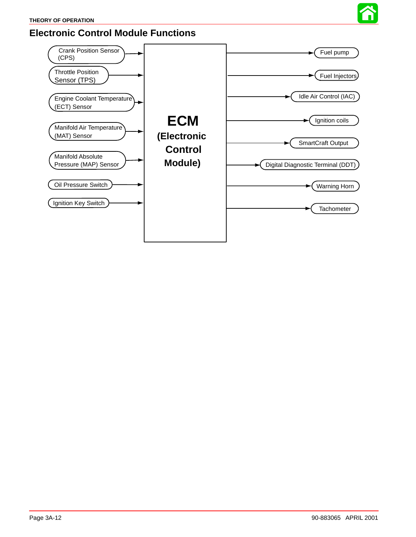

#### **Electronic Control Module Functions**

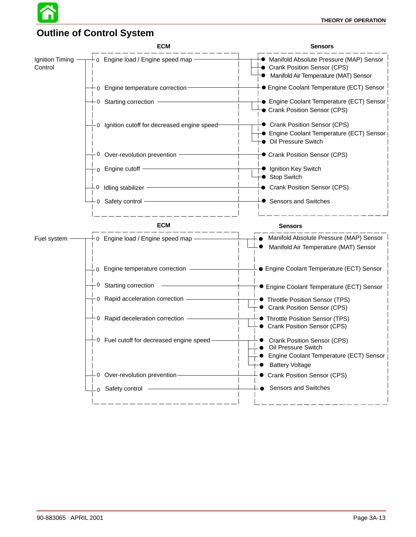

#### **Outline of Control System**